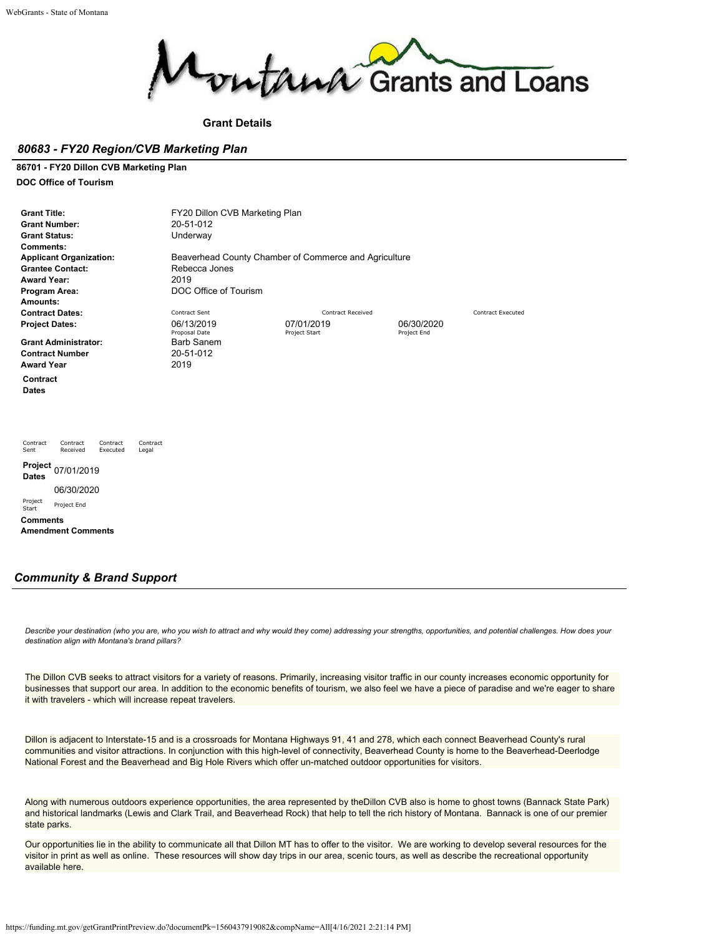

**Grant Details**

### *80683 - FY20 Region/CVB Marketing Plan*

**86701 - FY20 Dillon CVB Marketing Plan**

**DOC Office of Tourism**

| <b>Grant Title:</b><br><b>Grant Number:</b><br><b>Grant Status:</b><br>Comments:<br><b>Award Year:</b><br>Program Area: | <b>Applicant Organization:</b><br><b>Grantee Contact:</b>                  |                      |                   | FY20 Dillon CVB Marketing Plan<br>20-51-012<br>Underway<br>Rebecca Jones<br>2019<br>DOC Office of Tourism | Beaverhead County Chamber of Commerce and Agriculture |                           |                          |
|-------------------------------------------------------------------------------------------------------------------------|----------------------------------------------------------------------------|----------------------|-------------------|-----------------------------------------------------------------------------------------------------------|-------------------------------------------------------|---------------------------|--------------------------|
| Amounts:                                                                                                                |                                                                            |                      |                   |                                                                                                           |                                                       |                           |                          |
|                                                                                                                         | <b>Contract Dates:</b>                                                     |                      |                   | Contract Sent                                                                                             | <b>Contract Received</b>                              |                           | <b>Contract Executed</b> |
| <b>Project Dates:</b>                                                                                                   |                                                                            |                      |                   | 06/13/2019<br>Proposal Date                                                                               | 07/01/2019<br>Project Start                           | 06/30/2020<br>Project End |                          |
|                                                                                                                         | <b>Grant Administrator:</b><br><b>Contract Number</b><br><b>Award Year</b> |                      |                   | <b>Barb Sanem</b><br>20-51-012<br>2019                                                                    |                                                       |                           |                          |
| Contract<br><b>Dates</b>                                                                                                |                                                                            |                      |                   |                                                                                                           |                                                       |                           |                          |
| Contract<br>Sent                                                                                                        | Contract<br>Received                                                       | Contract<br>Executed | Contract<br>Legal |                                                                                                           |                                                       |                           |                          |
| <b>Project</b><br><b>Dates</b>                                                                                          | 07/01/2019                                                                 |                      |                   |                                                                                                           |                                                       |                           |                          |
|                                                                                                                         | 06/30/2020                                                                 |                      |                   |                                                                                                           |                                                       |                           |                          |
| Project<br>Start                                                                                                        | Project End                                                                |                      |                   |                                                                                                           |                                                       |                           |                          |
| <b>Comments</b>                                                                                                         | <b>Amendment Comments</b>                                                  |                      |                   |                                                                                                           |                                                       |                           |                          |

## *Community & Brand Support*

*Describe your destination (who you are, who you wish to attract and why would they come) addressing your strengths, opportunities, and potential challenges. How does your destination align with Montana's brand pillars?*

The Dillon CVB seeks to attract visitors for a variety of reasons. Primarily, increasing visitor traffic in our county increases economic opportunity for businesses that support our area. In addition to the economic benefits of tourism, we also feel we have a piece of paradise and we're eager to share it with travelers - which will increase repeat travelers.

Dillon is adjacent to Interstate-15 and is a crossroads for Montana Highways 91, 41 and 278, which each connect Beaverhead County's rural communities and visitor attractions. In conjunction with this high-level of connectivity, Beaverhead County is home to the Beaverhead-Deerlodge National Forest and the Beaverhead and Big Hole Rivers which offer un-matched outdoor opportunities for visitors.

Along with numerous outdoors experience opportunities, the area represented by theDillon CVB also is home to ghost towns (Bannack State Park) and historical landmarks (Lewis and Clark Trail, and Beaverhead Rock) that help to tell the rich history of Montana. Bannack is one of our premier state parks.

Our opportunities lie in the ability to communicate all that Dillon MT has to offer to the visitor. We are working to develop several resources for the visitor in print as well as online. These resources will show day trips in our area, scenic tours, as well as describe the recreational opportunity available here.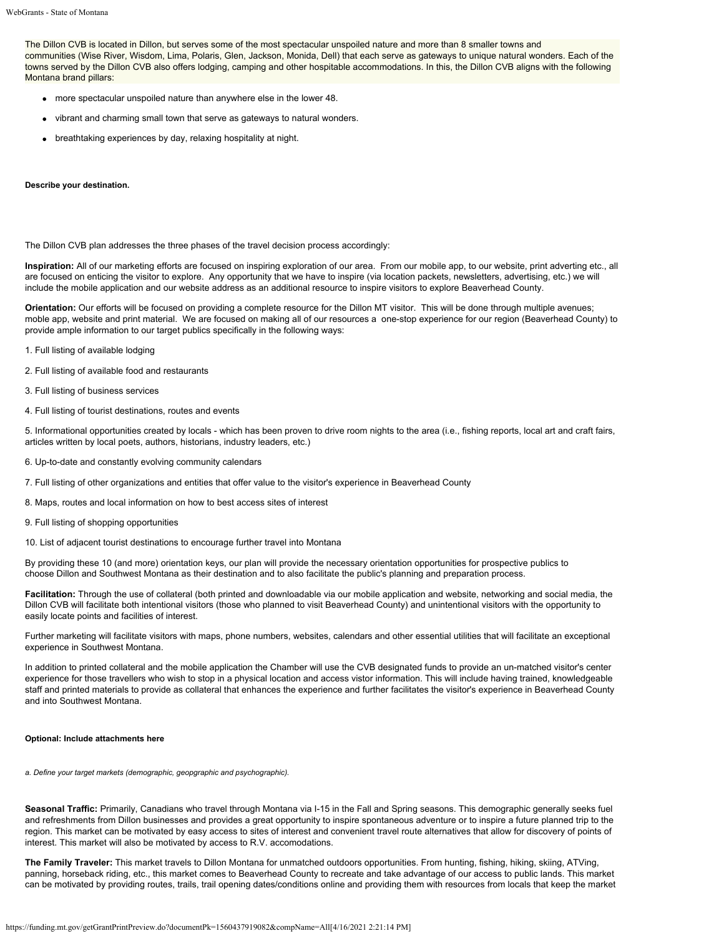The Dillon CVB is located in Dillon, but serves some of the most spectacular unspoiled nature and more than 8 smaller towns and communities (Wise River, Wisdom, Lima, Polaris, Glen, Jackson, Monida, Dell) that each serve as gateways to unique natural wonders. Each of the towns served by the Dillon CVB also offers lodging, camping and other hospitable accommodations. In this, the Dillon CVB aligns with the following Montana brand pillars:

- more spectacular unspoiled nature than anywhere else in the lower 48.
- vibrant and charming small town that serve as gateways to natural wonders.
- breathtaking experiences by day, relaxing hospitality at night.

#### **Describe your destination.**

The Dillon CVB plan addresses the three phases of the travel decision process accordingly:

**Inspiration:** All of our marketing efforts are focused on inspiring exploration of our area. From our mobile app, to our website, print adverting etc., all are focused on enticing the visitor to explore. Any opportunity that we have to inspire (via location packets, newsletters, advertising, etc.) we will include the mobile application and our website address as an additional resource to inspire visitors to explore Beaverhead County.

**Orientation:** Our efforts will be focused on providing a complete resource for the Dillon MT visitor. This will be done through multiple avenues; moble app, website and print material. We are focused on making all of our resources a one-stop experience for our region (Beaverhead County) to provide ample information to our target publics specifically in the following ways:

- 1. Full listing of available lodging
- 2. Full listing of available food and restaurants
- 3. Full listing of business services
- 4. Full listing of tourist destinations, routes and events

5. Informational opportunities created by locals - which has been proven to drive room nights to the area (i.e., fishing reports, local art and craft fairs, articles written by local poets, authors, historians, industry leaders, etc.)

- 6. Up-to-date and constantly evolving community calendars
- 7. Full listing of other organizations and entities that offer value to the visitor's experience in Beaverhead County
- 8. Maps, routes and local information on how to best access sites of interest
- 9. Full listing of shopping opportunities
- 10. List of adjacent tourist destinations to encourage further travel into Montana

By providing these 10 (and more) orientation keys, our plan will provide the necessary orientation opportunities for prospective publics to choose Dillon and Southwest Montana as their destination and to also facilitate the public's planning and preparation process.

**Facilitation:** Through the use of collateral (both printed and downloadable via our mobile application and website, networking and social media, the Dillon CVB will facilitate both intentional visitors (those who planned to visit Beaverhead County) and unintentional visitors with the opportunity to easily locate points and facilities of interest.

Further marketing will facilitate visitors with maps, phone numbers, websites, calendars and other essential utilities that will facilitate an exceptional experience in Southwest Montana.

In addition to printed collateral and the mobile application the Chamber will use the CVB designated funds to provide an un-matched visitor's center experience for those travellers who wish to stop in a physical location and access vistor information. This will include having trained, knowledgeable staff and printed materials to provide as collateral that enhances the experience and further facilitates the visitor's experience in Beaverhead County and into Southwest Montana.

#### **Optional: Include attachments here**

*a. Define your target markets (demographic, geopgraphic and psychographic).*

**Seasonal Traffic:** Primarily, Canadians who travel through Montana via I-15 in the Fall and Spring seasons. This demographic generally seeks fuel and refreshments from Dillon businesses and provides a great opportunity to inspire spontaneous adventure or to inspire a future planned trip to the region. This market can be motivated by easy access to sites of interest and convenient travel route alternatives that allow for discovery of points of interest. This market will also be motivated by access to R.V. accomodations.

**The Family Traveler:** This market travels to Dillon Montana for unmatched outdoors opportunities. From hunting, fishing, hiking, skiing, ATVing, panning, horseback riding, etc., this market comes to Beaverhead County to recreate and take advantage of our access to public lands. This market can be motivated by providing routes, trails, trail opening dates/conditions online and providing them with resources from locals that keep the market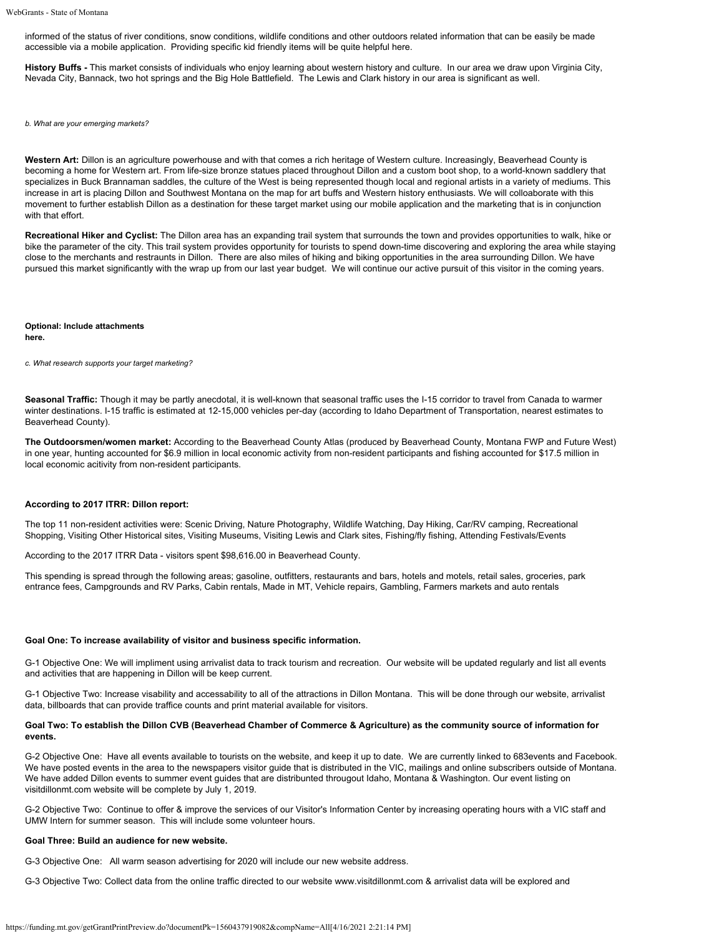informed of the status of river conditions, snow conditions, wildlife conditions and other outdoors related information that can be easily be made accessible via a mobile application. Providing specific kid friendly items will be quite helpful here.

**History Buffs -** This market consists of individuals who enjoy learning about western history and culture. In our area we draw upon Virginia City, Nevada City, Bannack, two hot springs and the Big Hole Battlefield. The Lewis and Clark history in our area is significant as well.

*b. What are your emerging markets?*

**Western Art:** Dillon is an agriculture powerhouse and with that comes a rich heritage of Western culture. Increasingly, Beaverhead County is becoming a home for Western art. From life-size bronze statues placed throughout Dillon and a custom boot shop, to a world-known saddlery that specializes in Buck Brannaman saddles, the culture of the West is being represented though local and regional artists in a variety of mediums. This increase in art is placing Dillon and Southwest Montana on the map for art buffs and Western history enthusiasts. We will colloaborate with this movement to further establish Dillon as a destination for these target market using our mobile application and the marketing that is in conjunction with that effort.

**Recreational Hiker and Cyclist:** The Dillon area has an expanding trail system that surrounds the town and provides opportunities to walk, hike or bike the parameter of the city. This trail system provides opportunity for tourists to spend down-time discovering and exploring the area while staying close to the merchants and restraunts in Dillon. There are also miles of hiking and biking opportunities in the area surrounding Dillon. We have pursued this market significantly with the wrap up from our last year budget. We will continue our active pursuit of this visitor in the coming years.

**Optional: Include attachments here.**

*c. What research supports your target marketing?*

**Seasonal Traffic:** Though it may be partly anecdotal, it is well-known that seasonal traffic uses the I-15 corridor to travel from Canada to warmer winter destinations. I-15 traffic is estimated at 12-15,000 vehicles per-day (according to Idaho Department of Transportation, nearest estimates to Beaverhead County).

**The Outdoorsmen/women market:** According to the Beaverhead County Atlas (produced by Beaverhead County, Montana FWP and Future West) in one year, hunting accounted for \$6.9 million in local economic activity from non-resident participants and fishing accounted for \$17.5 million in local economic acitivity from non-resident participants.

#### **According to 2017 ITRR: Dillon report:**

The top 11 non-resident activities were: Scenic Driving, Nature Photography, Wildlife Watching, Day Hiking, Car/RV camping, Recreational Shopping, Visiting Other Historical sites, Visiting Museums, Visiting Lewis and Clark sites, Fishing/fly fishing, Attending Festivals/Events

According to the 2017 ITRR Data - visitors spent \$98,616.00 in Beaverhead County.

This spending is spread through the following areas; gasoline, outfitters, restaurants and bars, hotels and motels, retail sales, groceries, park entrance fees, Campgrounds and RV Parks, Cabin rentals, Made in MT, Vehicle repairs, Gambling, Farmers markets and auto rentals

#### **Goal One: To increase availability of visitor and business specific information.**

G-1 Objective One: We will impliment using arrivalist data to track tourism and recreation. Our website will be updated regularly and list all events and activities that are happening in Dillon will be keep current.

G-1 Objective Two: Increase visability and accessability to all of the attractions in Dillon Montana. This will be done through our website, arrivalist data, billboards that can provide traffice counts and print material available for visitors.

### **Goal Two: To establish the Dillon CVB (Beaverhead Chamber of Commerce & Agriculture) as the community source of information for events.**

G-2 Objective One: Have all events available to tourists on the website, and keep it up to date. We are currently linked to 683events and Facebook. We have posted events in the area to the newspapers visitor guide that is distributed in the VIC, mailings and online subscribers outside of Montana. We have added Dillon events to summer event guides that are distribunted througout Idaho, Montana & Washington. Our event listing on visitdillonmt.com website will be complete by July 1, 2019.

G-2 Objective Two: Continue to offer & improve the services of our Visitor's Information Center by increasing operating hours with a VIC staff and UMW Intern for summer season. This will include some volunteer hours.

#### **Goal Three: Build an audience for new website.**

G-3 Objective One: All warm season advertising for 2020 will include our new website address.

G-3 Objective Two: Collect data from the online traffic directed to our website www.visitdillonmt.com & arrivalist data will be explored and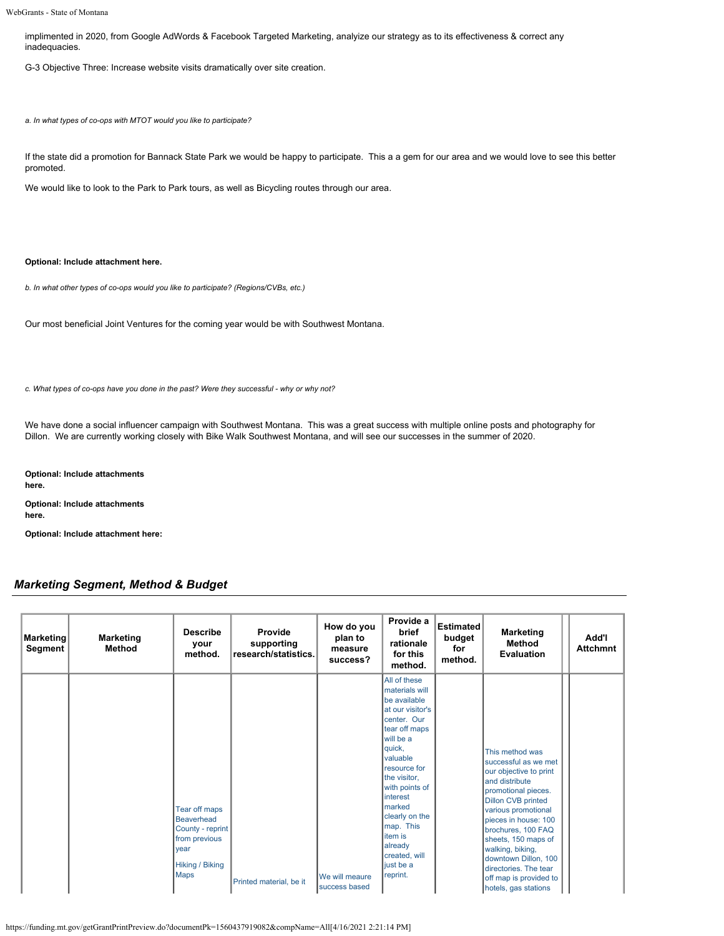implimented in 2020, from Google AdWords & Facebook Targeted Marketing, analyize our strategy as to its effectiveness & correct any inadequacies.

G-3 Objective Three: Increase website visits dramatically over site creation.

*a. In what types of co-ops with MTOT would you like to participate?*

If the state did a promotion for Bannack State Park we would be happy to participate. This a a gem for our area and we would love to see this better promoted.

We would like to look to the Park to Park tours, as well as Bicycling routes through our area.

### **Optional: Include attachment here.**

*b. In what other types of co-ops would you like to participate? (Regions/CVBs, etc.)*

Our most beneficial Joint Ventures for the coming year would be with Southwest Montana.

*c. What types of co-ops have you done in the past? Were they successful - why or why not?*

We have done a social influencer campaign with Southwest Montana. This was a great success with multiple online posts and photography for Dillon. We are currently working closely with Bike Walk Southwest Montana, and will see our successes in the summer of 2020.

**Optional: Include attachments here. Optional: Include attachments**

**here.**

**Optional: Include attachment here:**

## *Marketing Segment, Method & Budget*

| Marketing<br>Segment | <b>Marketing</b><br>Method | <b>Describe</b><br>your<br>method.                                                                                | Provide<br>supporting<br>research/statistics. | How do you<br>plan to<br>measure<br>success? | Provide a<br>brief<br>rationale<br>for this<br>method.                                                                                                                                                                                                                                                         | <b>Estimated</b><br>budget<br>for<br>method. | Marketing<br>Method<br><b>Evaluation</b>                                                                                                                                                                                                                                                                                                                   | Add'l<br><b>Attchmnt</b> |
|----------------------|----------------------------|-------------------------------------------------------------------------------------------------------------------|-----------------------------------------------|----------------------------------------------|----------------------------------------------------------------------------------------------------------------------------------------------------------------------------------------------------------------------------------------------------------------------------------------------------------------|----------------------------------------------|------------------------------------------------------------------------------------------------------------------------------------------------------------------------------------------------------------------------------------------------------------------------------------------------------------------------------------------------------------|--------------------------|
|                      |                            | Tear off maps<br><b>Beaverhead</b><br>County - reprint<br>from previous<br>year<br>Hiking / Biking<br><b>Maps</b> | Printed material, be it                       | <b>Ne will meaure</b><br>success based       | All of these<br>materials will<br>be available<br>at our visitor's<br>center. Our<br>tear off maps<br>will be a<br>quick,<br>valuable<br>resource for<br>the visitor,<br>with points of<br>linterest<br>marked<br>clearly on the<br>map. This<br>item is<br>already<br>created, will<br>liust be a<br>reprint. |                                              | This method was<br>successful as we met<br>our objective to print<br>and distribute<br>promotional pieces.<br><b>Dillon CVB printed</b><br>various promotional<br>pieces in house: 100<br>brochures, 100 FAQ<br>sheets, 150 maps of<br>walking, biking,<br>downtown Dillon, 100<br>directories. The tear<br>off map is provided to<br>hotels, gas stations |                          |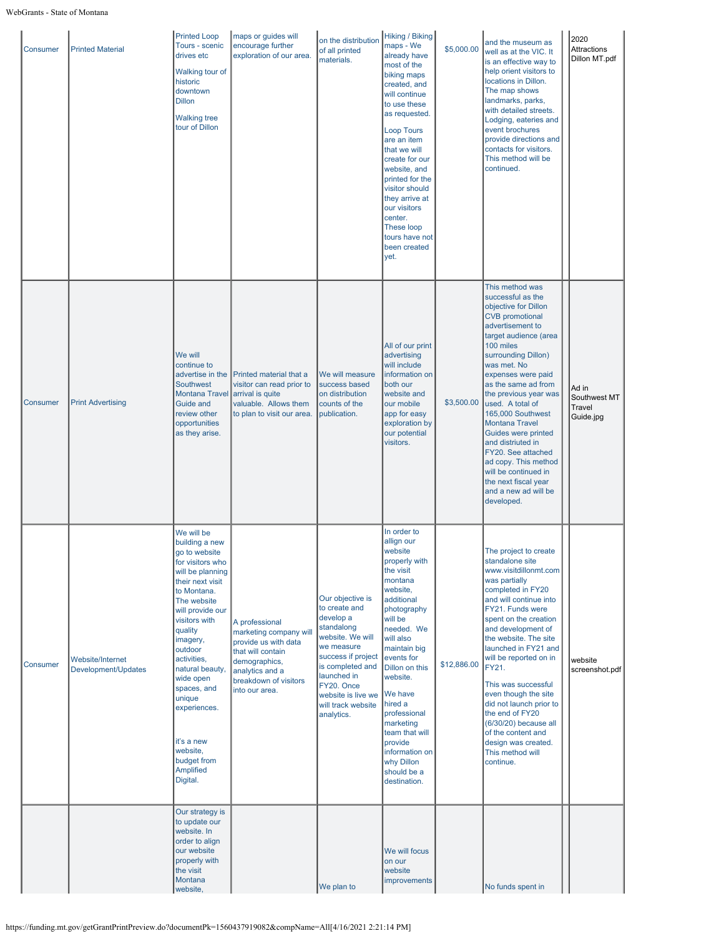| Consumer | <b>Printed Material</b>                 | <b>Printed Loop</b><br>Tours - scenic<br>drives etc<br>Walking tour of<br>historic<br>downtown<br><b>Dillon</b><br><b>Walking tree</b><br>tour of Dillon                                                                                                                                                                                                                        | maps or guides will<br>encourage further<br>exploration of our area.                                                                                                 | on the distribution<br>of all printed<br>materials.                                                                                                                                                                             | Hiking / Biking<br>maps - We<br>already have<br>most of the<br>biking maps<br>created, and<br>will continue<br>to use these<br>as requested.<br><b>Loop Tours</b><br>are an item<br>that we will<br>create for our<br>website, and<br>printed for the<br>visitor should<br>they arrive at<br>our visitors<br>center.<br><b>These loop</b><br>tours have not<br>been created<br>yet. | \$5,000.00  | and the museum as<br>well as at the VIC. It<br>is an effective way to<br>help orient visitors to<br>locations in Dillon.<br>The map shows<br>landmarks, parks,<br>with detailed streets.<br>Lodging, eateries and<br>event brochures<br>provide directions and<br>contacts for visitors.<br>This method will be<br>continued.                                                                                                                                                                                  | 2020<br><b>Attractions</b><br>Dillon MT.pdf  |
|----------|-----------------------------------------|---------------------------------------------------------------------------------------------------------------------------------------------------------------------------------------------------------------------------------------------------------------------------------------------------------------------------------------------------------------------------------|----------------------------------------------------------------------------------------------------------------------------------------------------------------------|---------------------------------------------------------------------------------------------------------------------------------------------------------------------------------------------------------------------------------|-------------------------------------------------------------------------------------------------------------------------------------------------------------------------------------------------------------------------------------------------------------------------------------------------------------------------------------------------------------------------------------|-------------|----------------------------------------------------------------------------------------------------------------------------------------------------------------------------------------------------------------------------------------------------------------------------------------------------------------------------------------------------------------------------------------------------------------------------------------------------------------------------------------------------------------|----------------------------------------------|
| Consumer | <b>Print Advertising</b>                | We will<br>continue to<br>advertise in the<br><b>Southwest</b><br><b>Montana Travel</b><br><b>Guide and</b><br>review other<br>opportunities<br>as they arise.                                                                                                                                                                                                                  | Printed material that a<br>visitor can read prior to<br>arrival is quite<br>valuable. Allows them<br>to plan to visit our area.                                      | We will measure<br>success based<br>on distribution<br>counts of the<br>publication.                                                                                                                                            | All of our print<br>advertising<br>will include<br>information on<br>both our<br>website and<br>our mobile<br>app for easy<br>exploration by<br>our potential<br>visitors.                                                                                                                                                                                                          | \$3,500.00  | This method was<br>successful as the<br>objective for Dillon<br><b>CVB</b> promotional<br>advertisement to<br>target audience (area<br>100 miles<br>surrounding Dillon)<br>was met. No<br>expenses were paid<br>as the same ad from<br>the previous year was<br>used. A total of<br>165,000 Southwest<br><b>Montana Travel</b><br>Guides were printed<br>and distriuted in<br>FY20. See attached<br>ad copy. This method<br>will be continued in<br>the next fiscal year<br>and a new ad will be<br>developed. | Ad in<br>Southwest MT<br>Travel<br>Guide.jpg |
| Consumer | Website/Internet<br>Development/Updates | We will be<br>building a new<br>go to website<br>for visitors who<br>will be planning<br>their next visit<br>to Montana.<br>The website<br>will provide our<br>visitors with<br>quality<br>imagery,<br>outdoor<br>activities,<br>natural beauty,<br>wide open<br>spaces, and<br>unique<br>experiences.<br>it's a new<br>website,<br>budget from<br><b>Amplified</b><br>Digital. | A professional<br>marketing company will<br>provide us with data<br>that will contain<br>demographics,<br>analytics and a<br>breakdown of visitors<br>into our area. | Our objective is<br>to create and<br>develop a<br>standalong<br>website. We will<br>we measure<br>success if project<br>is completed and<br>launched in<br>FY20. Once<br>website is live we<br>will track website<br>analytics. | In order to<br>allign our<br>website<br>properly with<br>the visit<br>montana<br>website,<br>additional<br>photography<br>will be<br>needed. We<br>will also<br>maintain big<br>events for<br>Dillon on this<br>website.<br>We have<br>Ihired a<br>professional<br>marketing<br>team that will<br>provide<br>information on<br>why Dillon<br>should be a<br>destination.            | \$12,886.00 | The project to create<br>standalone site<br>www.visitdillonmt.com<br>was partially<br>completed in FY20<br>and will continue into<br>FY21. Funds were<br>spent on the creation<br>and development of<br>the website. The site<br>launched in FY21 and<br>will be reported on in<br>FY21.<br>This was successful<br>even though the site<br>did not launch prior to<br>the end of FY20<br>(6/30/20) because all<br>of the content and<br>design was created.<br>This method will<br>continue.                   | website<br>screenshot.pdf                    |
|          |                                         | Our strategy is<br>to update our<br>website. In<br>order to align<br>our website<br>properly with<br>the visit<br>Montana<br>website,                                                                                                                                                                                                                                           |                                                                                                                                                                      | We plan to                                                                                                                                                                                                                      | We will focus<br>on our<br>website<br>improvements                                                                                                                                                                                                                                                                                                                                  |             | No funds spent in                                                                                                                                                                                                                                                                                                                                                                                                                                                                                              |                                              |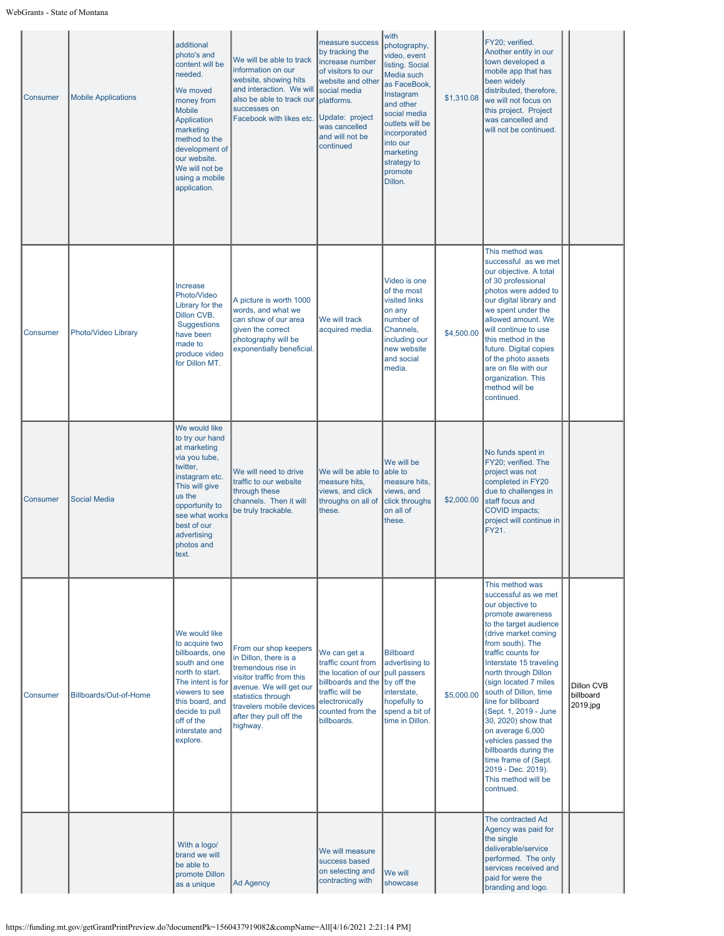| Consumer | <b>Mobile Applications</b> | additional<br>photo's and<br>content will be<br>needed.<br>We moved<br>money from<br><b>Mobile</b><br>Application<br>marketing<br>method to the<br>development of<br>our website.<br>We will not be<br>using a mobile<br>application. | We will be able to track<br>information on our<br>website, showing hits<br>and interaction. We will<br>also be able to track our<br>successes on<br>Facebook with likes etc.                                          | measure success<br>by tracking the<br>increase number<br>of visitors to our<br>website and other<br>social media<br>platforms.<br>Update: project<br>was cancelled<br>and will not be<br>continued | with<br>photography,<br>video, event<br>listing. Social<br>Media such<br>as FaceBook,<br>Instagram<br>and other<br>social media<br>outlets will be<br>incorporated<br>into our<br>marketing<br>strategy to<br>promote<br>Dillon. | \$1,310.08 | FY20; verified.<br>Another entity in our<br>town developed a<br>mobile app that has<br>been widely<br>distributed, therefore,<br>we will not focus on<br>this project. Project<br>was cancelled and<br>will not be continued.                                                                                                                                                                                                                                                                                 |                                     |
|----------|----------------------------|---------------------------------------------------------------------------------------------------------------------------------------------------------------------------------------------------------------------------------------|-----------------------------------------------------------------------------------------------------------------------------------------------------------------------------------------------------------------------|----------------------------------------------------------------------------------------------------------------------------------------------------------------------------------------------------|----------------------------------------------------------------------------------------------------------------------------------------------------------------------------------------------------------------------------------|------------|---------------------------------------------------------------------------------------------------------------------------------------------------------------------------------------------------------------------------------------------------------------------------------------------------------------------------------------------------------------------------------------------------------------------------------------------------------------------------------------------------------------|-------------------------------------|
| Consumer | Photo/Video Library        | Increase<br>Photo/Video<br>Library for the<br>Dillon CVB.<br>Suggestions<br>have been<br>made to<br>produce video<br>for Dillon MT.                                                                                                   | A picture is worth 1000<br>words, and what we<br>can show of our area<br>given the correct<br>photography will be<br>exponentially beneficial.                                                                        | We will track<br>acquired media.                                                                                                                                                                   | Video is one<br>of the most<br>visited links<br>on any<br>number of<br>Channels.<br>including our<br>new website<br>and social<br>media.                                                                                         | \$4,500.00 | This method was<br>successful as we met<br>our objective. A total<br>of 30 professional<br>photos were added to<br>our digital library and<br>we spent under the<br>allowed amount. We<br>will continue to use<br>this method in the<br>future. Digital copies<br>of the photo assets<br>are on file with our<br>organization. This<br>method will be<br>continued.                                                                                                                                           |                                     |
| Consumer | <b>Social Media</b>        | We would like<br>to try our hand<br>at marketing<br>via you tube,<br>twitter,<br>instagram etc.<br>This will give<br>us the<br>opportunity to<br>see what works<br>best of our<br>advertising<br>photos and<br>text.                  | We will need to drive<br>traffic to our website<br>through these<br>channels. Then it will<br>be truly trackable.                                                                                                     | We will be able to<br>measure hits,<br>views, and click<br>throughs on all of<br>these.                                                                                                            | We will be<br>able to<br>measure hits,<br>views, and<br>click throughs<br>on all of<br>these.                                                                                                                                    | \$2,000.00 | No funds spent in<br>FY20; verified. The<br>project was not<br>completed in FY20<br>due to challenges in<br>staff focus and<br><b>COVID impacts;</b><br>project will continue in<br>FY21.                                                                                                                                                                                                                                                                                                                     |                                     |
| Consumer | Billboards/Out-of-Home     | We would like<br>to acquire two<br>billboards, one<br>south and one<br>north to start.<br>The intent is for<br>viewers to see<br>this board, and<br>decide to pull<br>off of the<br>interstate and<br>explore.                        | From our shop keepers<br>in Dillon, there is a<br>tremendous rise in<br>visitor traffic from this<br>avenue. We will get our<br>statistics through<br>travelers mobile devices<br>after they pull off the<br>highway. | We can get a<br>traffic count from<br>the location of our<br>billboards and the by off the<br>traffic will be<br>electronically<br>counted from the<br>billboards.                                 | <b>Billboard</b><br>advertising to<br>pull passers<br>interstate,<br>hopefully to<br>spend a bit of<br>time in Dillon.                                                                                                           | \$5,000.00 | This method was<br>successful as we met<br>our objective to<br>promote awareness<br>to the target audience<br>(drive market coming<br>from south). The<br>traffic counts for<br>Interstate 15 traveling<br>north through Dillon<br>(sign located 7 miles<br>south of Dillon, time<br>line for billboard<br>(Sept. 1, 2019 - June<br>30, 2020) show that<br>on average 6,000<br>vehicles passed the<br>billboards during the<br>time frame of (Sept.<br>2019 - Dec. 2019).<br>This method will be<br>contnued. | Dillon CVB<br>billboard<br>2019.jpg |
|          |                            | With a logo/<br>brand we will<br>be able to<br>promote Dillon<br>as a unique                                                                                                                                                          | <b>Ad Agency</b>                                                                                                                                                                                                      | We will measure<br>success based<br>on selecting and<br>contracting with                                                                                                                           | We will<br>showcase                                                                                                                                                                                                              |            | The contracted Ad<br>Agency was paid for<br>the single<br>deliverable/service<br>performed. The only<br>services received and<br>paid for were the<br>branding and logo.                                                                                                                                                                                                                                                                                                                                      |                                     |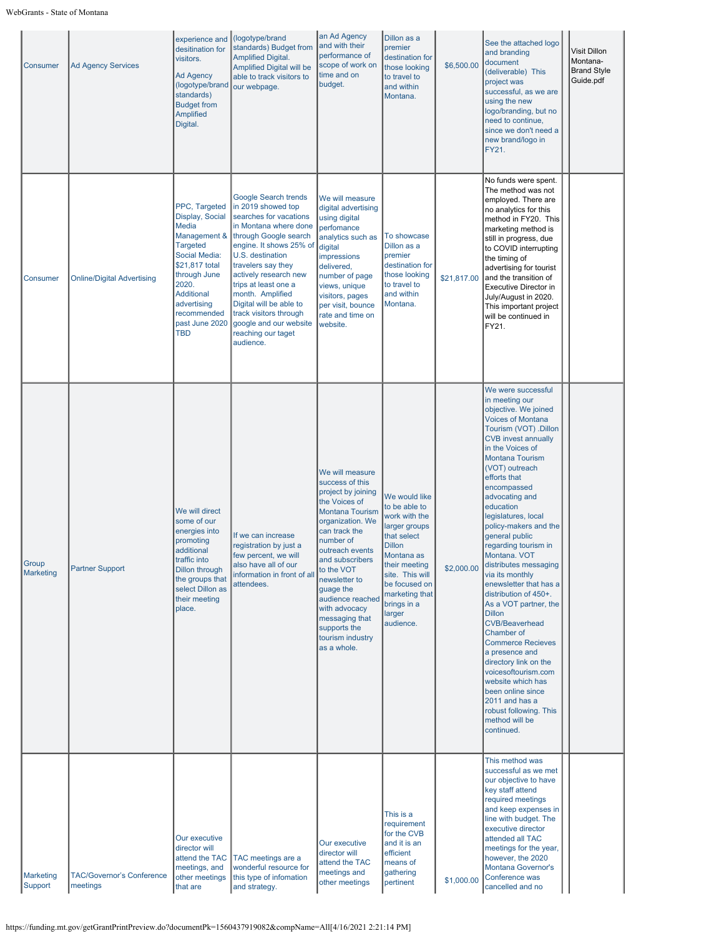| Consumer                    | <b>Ad Agency Services</b>                    | experience and<br>desitination for<br>visitors.<br><b>Ad Agency</b><br>(logotype/brand<br>standards)<br><b>Budget from</b><br><b>Amplified</b><br>Digital.                                                           | (logotype/brand<br>standards) Budget from<br><b>Amplified Digital.</b><br><b>Amplified Digital will be</b><br>able to track visitors to<br>our webpage.                                                                                                                                                                                                                            | an Ad Agency<br>and with their<br>performance of<br>scope of work on<br>time and on<br>budget.                                                                                                                                                                                                                                                    | Dillon as a<br>premier<br>destination for<br>those looking<br>to travel to<br>and within<br>Montana.                                                                                                                        | \$6,500.00  | See the attached logo<br>and branding<br>document<br>(deliverable) This<br>project was<br>successful, as we are<br>using the new<br>logo/branding, but no<br>need to continue,<br>since we don't need a<br>new brand/logo in<br>FY21.                                                                                                                                                                                                                                                                                                                                                                                                                                                                                                                                                       | Visit Dillon<br>Montana-<br><b>Brand Style</b><br>Guide.pdf |
|-----------------------------|----------------------------------------------|----------------------------------------------------------------------------------------------------------------------------------------------------------------------------------------------------------------------|------------------------------------------------------------------------------------------------------------------------------------------------------------------------------------------------------------------------------------------------------------------------------------------------------------------------------------------------------------------------------------|---------------------------------------------------------------------------------------------------------------------------------------------------------------------------------------------------------------------------------------------------------------------------------------------------------------------------------------------------|-----------------------------------------------------------------------------------------------------------------------------------------------------------------------------------------------------------------------------|-------------|---------------------------------------------------------------------------------------------------------------------------------------------------------------------------------------------------------------------------------------------------------------------------------------------------------------------------------------------------------------------------------------------------------------------------------------------------------------------------------------------------------------------------------------------------------------------------------------------------------------------------------------------------------------------------------------------------------------------------------------------------------------------------------------------|-------------------------------------------------------------|
| Consumer                    | <b>Online/Digital Advertising</b>            | PPC, Targeted<br>Display, Social<br>Media<br>Management &<br><b>Targeted</b><br>Social Media:<br>\$21,817 total<br>through June<br>2020.<br>Additional<br>advertising<br>recommended<br>past June 2020<br><b>TBD</b> | Google Search trends<br>in 2019 showed top<br>searches for vacations<br>in Montana where done<br>through Google search<br>engine. It shows 25% of<br>U.S. destination<br>travelers say they<br>actively research new<br>trips at least one a<br>month. Amplified<br>Digital will be able to<br>track visitors through<br>google and our website<br>reaching our taget<br>audience. | We will measure<br>digital advertising<br>using digital<br>perfomance<br>analytics such as<br>digital<br>impressions<br>delivered,<br>number of page<br>views, unique<br>visitors, pages<br>per visit, bounce<br>rate and time on<br>website.                                                                                                     | To showcase<br>Dillon as a<br>premier<br>destination for<br>those looking<br>to travel to<br>and within<br>Montana.                                                                                                         | \$21.817.00 | No funds were spent.<br>The method was not<br>employed. There are<br>no analytics for this<br>method in FY20. This<br>marketing method is<br>still in progress, due<br>to COVID interrupting<br>the timing of<br>advertising for tourist<br>and the transition of<br>Executive Director in<br>July/August in 2020.<br>This important project<br>will be continued in<br>FY21.                                                                                                                                                                                                                                                                                                                                                                                                               |                                                             |
| Group<br><b>Marketing</b>   | <b>Partner Support</b>                       | We will direct<br>some of our<br>energies into<br>promoting<br>additional<br>traffic into<br><b>Dillon through</b><br>the groups that<br>select Dillon as<br>their meeting<br>place.                                 | If we can increase<br>registration by just a<br>few percent, we will<br>also have all of our<br>information in front of all<br>attendees.                                                                                                                                                                                                                                          | We will measure<br>success of this<br>project by joining<br>the Voices of<br><b>Montana Tourism</b><br>organization. We<br>can track the<br>number of<br>outreach events<br>and subscribers<br>to the VOT<br>newsletter to<br>guage the<br>audience reached<br>with advocacy<br>messaging that<br>supports the<br>tourism industry<br>as a whole. | We would like<br>to be able to<br>work with the<br>larger groups<br>that select<br><b>Dillon</b><br>Montana as<br>their meeting<br>site. This will<br>be focused on<br>marketing that<br>brings in a<br>larger<br>audience. | \$2,000.00  | We were successful<br>in meeting our<br>objective. We joined<br><b>Voices of Montana</b><br>Tourism (VOT) .Dillon<br><b>CVB</b> invest annually<br>in the Voices of<br><b>Montana Tourism</b><br>(VOT) outreach<br>efforts that<br>encompassed<br>advocating and<br>education<br>legislatures, local<br>policy-makers and the<br>general public<br>regarding tourism in<br>Montana. VOT<br>distributes messaging<br>via its monthly<br>enewsletter that has a<br>distribution of 450+.<br>As a VOT partner, the<br><b>Dillon</b><br><b>CVB/Beaverhead</b><br>Chamber of<br><b>Commerce Recieves</b><br>a presence and<br>directory link on the<br>voicesoftourism.com<br>website which has<br>been online since<br>2011 and has a<br>robust following. This<br>method will be<br>continued. |                                                             |
| <b>Marketing</b><br>Support | <b>TAC/Governor's Conference</b><br>meetings | Our executive<br>director will<br>attend the TAC<br>meetings, and<br>other meetings<br>that are                                                                                                                      | TAC meetings are a<br>wonderful resource for<br>this type of infomation<br>and strategy.                                                                                                                                                                                                                                                                                           | Our executive<br>director will<br>attend the TAC<br>meetings and<br>other meetings                                                                                                                                                                                                                                                                | This is a<br>requirement<br>for the CVB<br>and it is an<br>efficient<br>means of<br>gathering<br>pertinent                                                                                                                  | \$1,000.00  | This method was<br>successful as we met<br>our objective to have<br>key staff attend<br>required meetings<br>and keep expenses in<br>line with budget. The<br>executive director<br>attended all TAC<br>meetings for the year,<br>however, the 2020<br>Montana Governor's<br>Conference was<br>cancelled and no                                                                                                                                                                                                                                                                                                                                                                                                                                                                             |                                                             |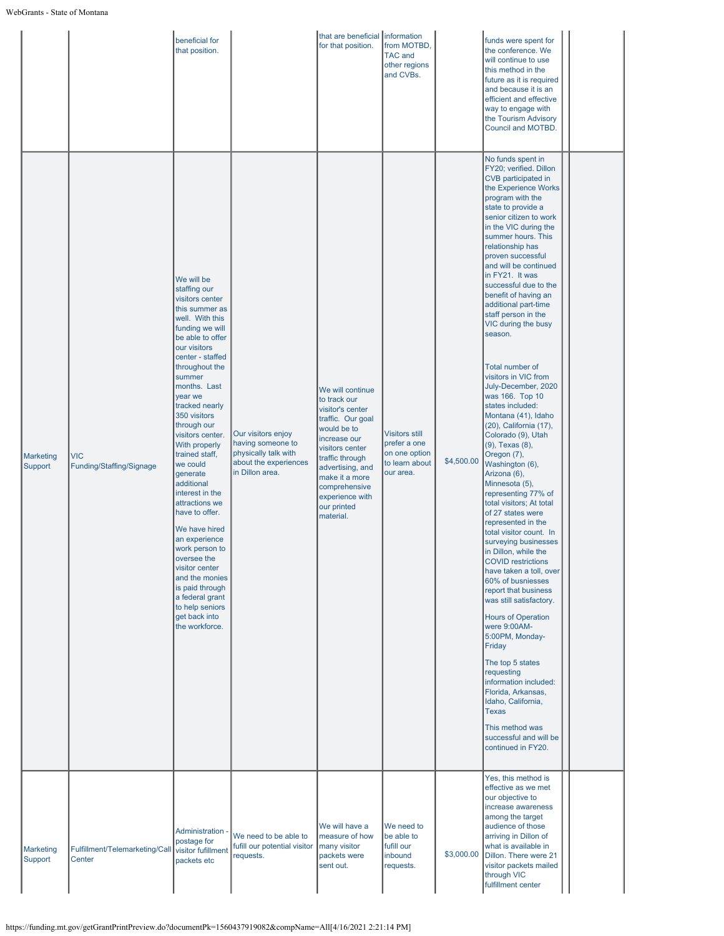|                      |                                          | beneficial for<br>that position.                                                                                                                                                                                                                                                                                                                                                                                                                                                                                                                                                                                             |                                                                                                             | that are beneficial information<br>for that position.                                                                                                                                                                                                | from MOTBD,<br><b>TAC and</b><br>other regions<br>and CVBs.                           |            | funds were spent for<br>the conference. We<br>will continue to use<br>this method in the<br>future as it is required<br>and because it is an<br>efficient and effective<br>way to engage with<br>the Tourism Advisory<br>Council and MOTBD.                                                                                                                                                                                                                                                                                                                                                                                                                                                                                                                                                                                                                                                                                                                                                                                                                                                                                                                                                                                                                                |  |
|----------------------|------------------------------------------|------------------------------------------------------------------------------------------------------------------------------------------------------------------------------------------------------------------------------------------------------------------------------------------------------------------------------------------------------------------------------------------------------------------------------------------------------------------------------------------------------------------------------------------------------------------------------------------------------------------------------|-------------------------------------------------------------------------------------------------------------|------------------------------------------------------------------------------------------------------------------------------------------------------------------------------------------------------------------------------------------------------|---------------------------------------------------------------------------------------|------------|----------------------------------------------------------------------------------------------------------------------------------------------------------------------------------------------------------------------------------------------------------------------------------------------------------------------------------------------------------------------------------------------------------------------------------------------------------------------------------------------------------------------------------------------------------------------------------------------------------------------------------------------------------------------------------------------------------------------------------------------------------------------------------------------------------------------------------------------------------------------------------------------------------------------------------------------------------------------------------------------------------------------------------------------------------------------------------------------------------------------------------------------------------------------------------------------------------------------------------------------------------------------------|--|
| Marketing<br>Support | <b>VIC</b><br>Funding/Staffing/Signage   | We will be<br>staffing our<br>visitors center<br>this summer as<br>well. With this<br>funding we will<br>be able to offer<br>our visitors<br>center - staffed<br>throughout the<br>summer<br>months. Last<br>year we<br>tracked nearly<br>350 visitors<br>through our<br>visitors center.<br>With properly<br>trained staff,<br>we could<br>generate<br>additional<br>interest in the<br>attractions we<br>have to offer.<br>We have hired<br>an experience<br>work person to<br>oversee the<br>visitor center<br>and the monies<br>is paid through<br>a federal grant<br>to help seniors<br>get back into<br>the workforce. | Our visitors enjoy<br>having someone to<br>physically talk with<br>about the experiences<br>in Dillon area. | We will continue<br>to track our<br>visitor's center<br>traffic. Our goal<br>would be to<br>increase our<br>visitors center<br>traffic through<br>advertising, and<br>make it a more<br>comprehensive<br>experience with<br>our printed<br>material. | <b>Visitors still</b><br>prefer a one<br>on one option<br>to learn about<br>our area. | \$4,500.00 | No funds spent in<br>FY20; verified. Dillon<br>CVB participated in<br>the Experience Works<br>program with the<br>state to provide a<br>senior citizen to work<br>in the VIC during the<br>summer hours. This<br>relationship has<br>proven successful<br>and will be continued<br>in FY21. It was<br>successful due to the<br>benefit of having an<br>additional part-time<br>staff person in the<br>VIC during the busy<br>season.<br>Total number of<br>visitors in VIC from<br>July-December, 2020<br>was 166. Top 10<br>states included:<br>Montana (41), Idaho<br>(20), California (17),<br>Colorado (9), Utah<br>(9), Texas (8),<br>Oregon (7),<br>Washington (6),<br>Arizona (6),<br>Minnesota (5),<br>representing 77% of<br>total visitors; At total<br>of 27 states were<br>represented in the<br>total visitor count. In<br>surveying businesses<br>in Dillon, while the<br>COVID restrictions<br>have taken a toll, over<br>60% of busniesses<br>report that business<br>was still satisfactory.<br><b>Hours of Operation</b><br>were 9:00AM-<br>5:00PM, Monday-<br>Friday<br>The top 5 states<br>requesting<br>information included:<br>Florida, Arkansas,<br>Idaho, California,<br>Texas<br>This method was<br>successful and will be<br>continued in FY20. |  |
| Marketing<br>Support | Fulfillment/Telemarketing/Call<br>Center | Administration ·<br>postage for<br>visitor fufillment<br>packets etc                                                                                                                                                                                                                                                                                                                                                                                                                                                                                                                                                         | We need to be able to<br>fufill our potential visitor<br>requests.                                          | We will have a<br>measure of how<br>many visitor<br>packets were<br>sent out.                                                                                                                                                                        | We need to<br>be able to<br>fufill our<br>inbound<br>requests.                        | \$3,000.00 | Yes, this method is<br>effective as we met<br>our objective to<br>increase awareness<br>among the target<br>audience of those<br>arriving in Dillon of<br>what is available in<br>Dillon. There were 21<br>visitor packets mailed<br>through VIC<br>fulfillment center                                                                                                                                                                                                                                                                                                                                                                                                                                                                                                                                                                                                                                                                                                                                                                                                                                                                                                                                                                                                     |  |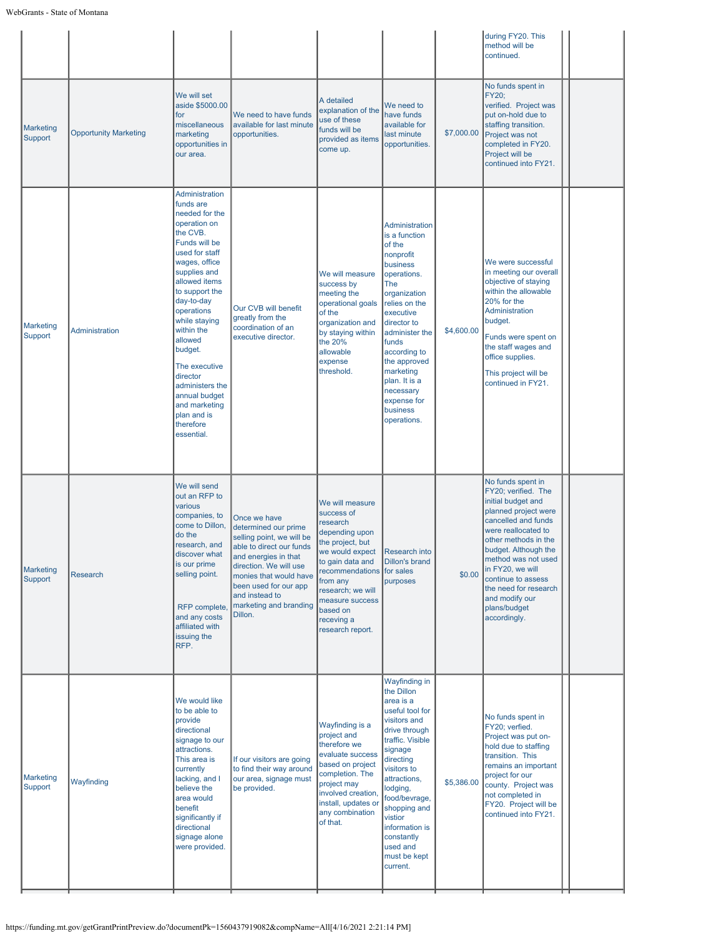|                             |                              |                                                                                                                                                                                                                                                                                                                                                                                               |                                                                                                                                                                                                                                                           |                                                                                                                                                                                                                                                       |                                                                                                                                                                                                                                                                                                         |            | during FY20. This<br>method will be<br>continued.                                                                                                                                                                                                                                                                                |  |
|-----------------------------|------------------------------|-----------------------------------------------------------------------------------------------------------------------------------------------------------------------------------------------------------------------------------------------------------------------------------------------------------------------------------------------------------------------------------------------|-----------------------------------------------------------------------------------------------------------------------------------------------------------------------------------------------------------------------------------------------------------|-------------------------------------------------------------------------------------------------------------------------------------------------------------------------------------------------------------------------------------------------------|---------------------------------------------------------------------------------------------------------------------------------------------------------------------------------------------------------------------------------------------------------------------------------------------------------|------------|----------------------------------------------------------------------------------------------------------------------------------------------------------------------------------------------------------------------------------------------------------------------------------------------------------------------------------|--|
| <b>Marketing</b><br>Support | <b>Opportunity Marketing</b> | We will set<br>aside \$5000.00<br>for<br>miscellaneous<br>marketing<br>opportunities in<br>our area.                                                                                                                                                                                                                                                                                          | We need to have funds<br>available for last minute<br>opportunities.                                                                                                                                                                                      | A detailed<br>explanation of the<br>use of these<br>funds will be<br>provided as items<br>come up.                                                                                                                                                    | We need to<br>have funds<br>available for<br>last minute<br>opportunities.                                                                                                                                                                                                                              | \$7,000.00 | No funds spent in<br><b>FY20:</b><br>verified. Project was<br>put on-hold due to<br>staffing transition.<br>Project was not<br>completed in FY20.<br>Project will be<br>continued into FY21.                                                                                                                                     |  |
| Marketing<br>Support        | Administration               | Administration<br>funds are<br>needed for the<br>operation on<br>the CVB.<br>Funds will be<br>used for staff<br>wages, office<br>supplies and<br>allowed items<br>to support the<br>day-to-day<br>operations<br>while staying<br>within the<br>allowed<br>budget.<br>The executive<br>director<br>administers the<br>annual budget<br>and marketing<br>plan and is<br>therefore<br>essential. | Our CVB will benefit<br>greatly from the<br>coordination of an<br>executive director.                                                                                                                                                                     | We will measure<br>success by<br>meeting the<br>operational goals<br>of the<br>organization and<br>by staying within<br>the 20%<br>allowable<br>expense<br>threshold.                                                                                 | Administration<br>is a function<br>of the<br>nonprofit<br>business<br>operations.<br>The<br>organization<br>relies on the<br>executive<br>director to<br>administer the<br>funds<br>according to<br>the approved<br>marketing<br>plan. It is a<br>necessary<br>expense for<br>business<br>operations.   | \$4,600.00 | We were successful<br>in meeting our overall<br>objective of staying<br>within the allowable<br>20% for the<br>Administration<br>budget.<br>Funds were spent on<br>the staff wages and<br>office supplies.<br>This project will be<br>continued in FY21.                                                                         |  |
| Marketing<br>Support        | Research                     | We will send<br>out an RFP to<br>various<br>companies, to<br>come to Dillon,<br>do the<br>research, and<br>discover what<br>is our prime<br>selling point.<br>RFP complete,<br>and any costs<br>affiliated with<br>issuing the<br>RFP.                                                                                                                                                        | Once we have<br>determined our prime<br>selling point, we will be<br>able to direct our funds<br>and energies in that<br>direction. We will use<br>monies that would have<br>been used for our app<br>and instead to<br>marketing and branding<br>Dillon. | We will measure<br>success of<br>research<br>depending upon<br>the project, but<br>we would expect<br>to gain data and<br>recommendations for sales<br>from any<br>research; we will<br>measure success<br>based on<br>receving a<br>research report. | Research into<br>Dillon's brand<br>purposes                                                                                                                                                                                                                                                             | \$0.00     | No funds spent in<br>FY20; verified. The<br>initial budget and<br>planned project were<br>cancelled and funds<br>were reallocated to<br>other methods in the<br>budget. Although the<br>method was not used<br>in FY20, we will<br>continue to assess<br>the need for research<br>and modify our<br>plans/budget<br>accordingly. |  |
| <b>Marketing</b><br>Support | Wayfinding                   | We would like<br>to be able to<br>provide<br>directional<br>signage to our<br>attractions.<br>This area is<br>currently<br>lacking, and I<br>believe the<br>area would<br>benefit<br>significantly if<br>directional<br>signage alone<br>were provided.                                                                                                                                       | If our visitors are going<br>to find their way around<br>our area, signage must<br>be provided.                                                                                                                                                           | Wayfinding is a<br>project and<br>therefore we<br>evaluate success<br>based on project<br>completion. The<br>project may<br>involved creation<br>install, updates of<br>any combination<br>of that.                                                   | Wayfinding in<br>the Dillon<br>area is a<br>useful tool for<br>visitors and<br>drive through<br>traffic. Visible<br>signage<br>directing<br>visitors to<br>attractions,<br>lodging,<br>food/bevrage,<br>shopping and<br>vistior<br>information is<br>constantly<br>used and<br>must be kept<br>current. | \$5,386.00 | No funds spent in<br>FY20; verfied.<br>Project was put on-<br>hold due to staffing<br>transition. This<br>remains an important<br>project for our<br>county. Project was<br>not completed in<br>FY20. Project will be<br>continued into FY21.                                                                                    |  |
|                             |                              |                                                                                                                                                                                                                                                                                                                                                                                               |                                                                                                                                                                                                                                                           |                                                                                                                                                                                                                                                       |                                                                                                                                                                                                                                                                                                         |            |                                                                                                                                                                                                                                                                                                                                  |  |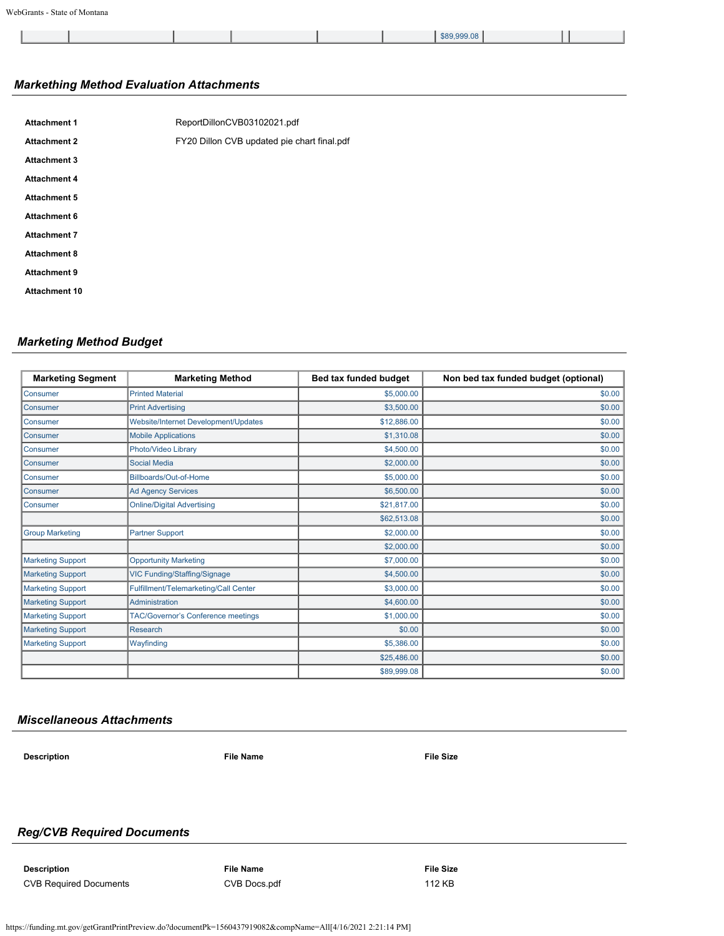|  | \$89,999.08 |  |
|--|-------------|--|

# *Markething Method Evaluation Attachments*

| <b>Attachment 1</b>  | ReportDillonCVB03102021.pdf                 |
|----------------------|---------------------------------------------|
| <b>Attachment 2</b>  | FY20 Dillon CVB updated pie chart final.pdf |
| <b>Attachment 3</b>  |                                             |
| <b>Attachment 4</b>  |                                             |
| <b>Attachment 5</b>  |                                             |
| Attachment 6         |                                             |
| <b>Attachment 7</b>  |                                             |
| <b>Attachment 8</b>  |                                             |
| <b>Attachment 9</b>  |                                             |
| <b>Attachment 10</b> |                                             |

# *Marketing Method Budget*

| <b>Marketing Segment</b> | <b>Marketing Method</b>                   | Bed tax funded budget | Non bed tax funded budget (optional) |
|--------------------------|-------------------------------------------|-----------------------|--------------------------------------|
| Consumer                 | <b>Printed Material</b>                   | \$5,000.00            | \$0.00                               |
| Consumer                 | <b>Print Advertising</b>                  | \$3,500.00            | \$0.00                               |
| Consumer                 | Website/Internet Development/Updates      | \$12,886.00           | \$0.00                               |
| Consumer                 | <b>Mobile Applications</b>                | \$1,310.08            | \$0.00                               |
| Consumer                 | Photo/Video Library                       | \$4,500.00            | \$0.00                               |
| Consumer                 | <b>Social Media</b>                       | \$2,000.00            | \$0.00                               |
| Consumer                 | Billboards/Out-of-Home                    | \$5,000.00            | \$0.00                               |
| Consumer                 | <b>Ad Agency Services</b>                 | \$6,500.00            | \$0.00                               |
| Consumer                 | <b>Online/Digital Advertising</b>         | \$21,817.00           | \$0.00                               |
|                          |                                           | \$62,513.08           | \$0.00                               |
| <b>Group Marketing</b>   | <b>Partner Support</b>                    | \$2,000.00            | \$0.00                               |
|                          |                                           | \$2,000.00            | \$0.00                               |
| <b>Marketing Support</b> | <b>Opportunity Marketing</b>              | \$7,000.00            | \$0.00                               |
| <b>Marketing Support</b> | VIC Funding/Staffing/Signage              | \$4,500.00            | \$0.00                               |
| <b>Marketing Support</b> | Fulfillment/Telemarketing/Call Center     | \$3,000.00            | \$0.00                               |
| <b>Marketing Support</b> | Administration                            | \$4,600.00            | \$0.00                               |
| <b>Marketing Support</b> | <b>TAC/Governor's Conference meetings</b> | \$1,000.00            | \$0.00                               |
| <b>Marketing Support</b> | <b>Research</b>                           | \$0.00                | \$0.00                               |
| <b>Marketing Support</b> | Wayfinding                                | \$5,386.00            | \$0.00                               |
|                          |                                           | \$25,486.00           | \$0.00                               |
|                          |                                           | \$89,999.08           | \$0.00                               |

### *Miscellaneous Attachments*

**Description File Name File Size**

# *Reg/CVB Required Documents*

**Description File Name File Size** CVB Required Documents [CVB Docs.pdf](https://funding.mt.gov/fileDownload.jsp?filename=1556301144285_CVB+Docs.pdf) 112 KB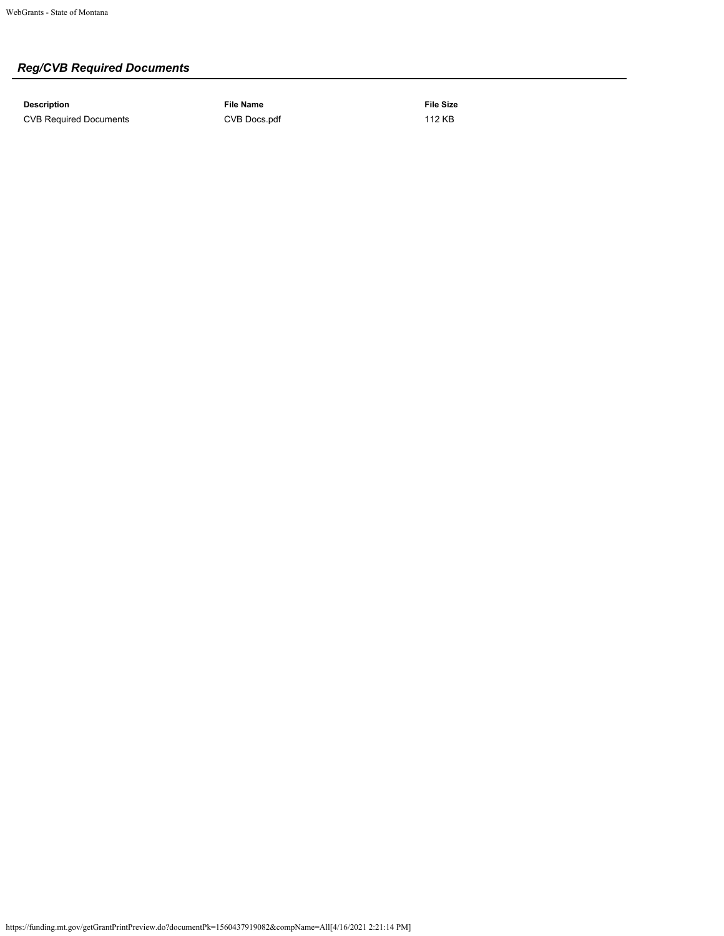# *Reg/CVB Required Documents*

**Description File Name File Size** CVB Required Documents [CVB Docs.pdf](https://funding.mt.gov/fileDownload.jsp?filename=1556301144285_CVB+Docs.pdf) 112 KB